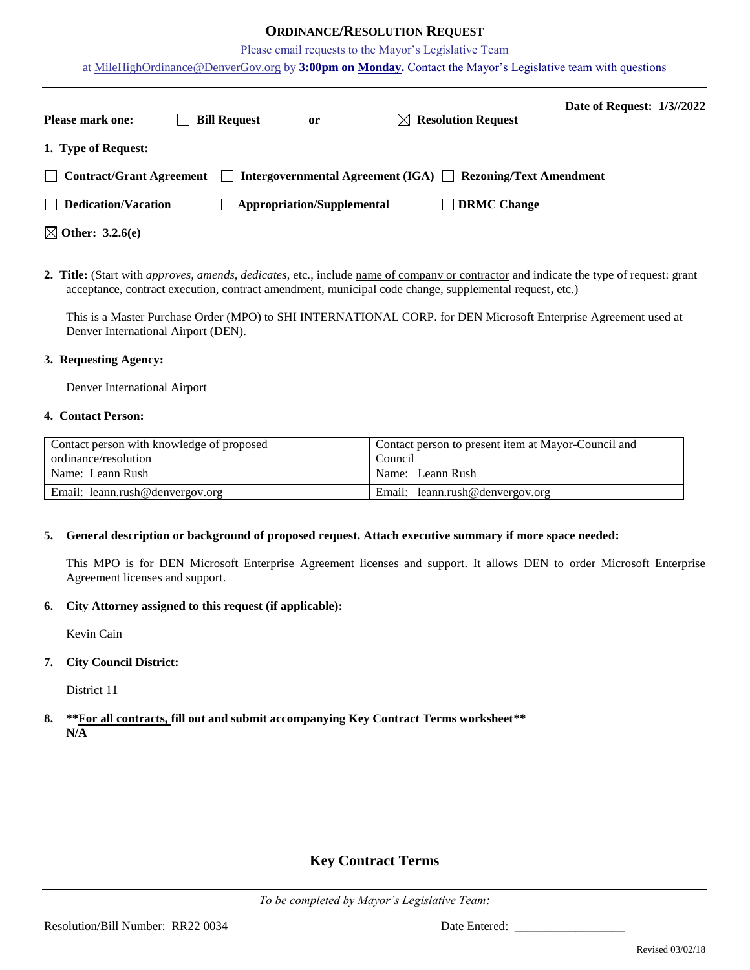## **ORDINANCE/RESOLUTION REQUEST**

Please email requests to the Mayor's Legislative Team

at [MileHighOrdinance@DenverGov.org](mailto:MileHighOrdinance@DenverGov.org) by **3:00pm on Monday.** Contact the Mayor's Legislative team with questions

| <b>Please mark one:</b>     | <b>Bill Request</b> | or                                | $\bowtie$ Resolution Request                                     | Date of Request: 1/3//2022 |  |
|-----------------------------|---------------------|-----------------------------------|------------------------------------------------------------------|----------------------------|--|
| 1. Type of Request:         |                     |                                   |                                                                  |                            |  |
| Contract/Grant Agreement    |                     |                                   | Intergovernmental Agreement (IGA) $\Box$ Rezoning/Text Amendment |                            |  |
| $\Box$ Dedication/Vacation  |                     | $\Box$ Appropriation/Supplemental | <b>DRMC</b> Change                                               |                            |  |
| $\boxtimes$ Other: 3.2.6(e) |                     |                                   |                                                                  |                            |  |

**2. Title:** (Start with *approves, amends, dedicates*, etc., include name of company or contractor and indicate the type of request: grant acceptance, contract execution, contract amendment, municipal code change, supplemental request**,** etc.)

This is a Master Purchase Order (MPO) to SHI INTERNATIONAL CORP. for DEN Microsoft Enterprise Agreement used at Denver International Airport (DEN).

#### **3. Requesting Agency:**

Denver International Airport

#### **4. Contact Person:**

| Contact person with knowledge of proposed | Contact person to present item at Mayor-Council and |  |  |
|-------------------------------------------|-----------------------------------------------------|--|--|
| ordinance/resolution                      | Council                                             |  |  |
| Name: Leann Rush                          | Name: Leann Rush                                    |  |  |
| Email: leann.rush@denvergov.org           | Email: leann.rush@denvergov.org                     |  |  |

#### **5. General description or background of proposed request. Attach executive summary if more space needed:**

This MPO is for DEN Microsoft Enterprise Agreement licenses and support. It allows DEN to order Microsoft Enterprise Agreement licenses and support.

### **6. City Attorney assigned to this request (if applicable):**

Kevin Cain

## **7. City Council District:**

District 11

**8. \*\*For all contracts, fill out and submit accompanying Key Contract Terms worksheet\*\* N/A**

# **Key Contract Terms**